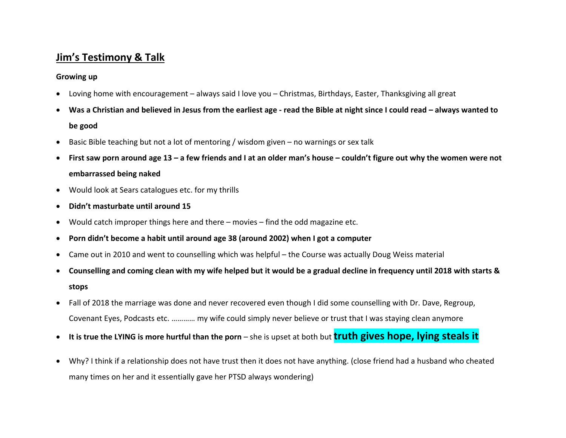# **Jim's Testimony & Talk**

#### **Growing up**

- Loving home with encouragement always said I love you Christmas, Birthdays, Easter, Thanksgiving all great
- **Was a Christian and believed in Jesus from the earliest age - read the Bible at night since I could read – always wanted to be good**
- Basic Bible teaching but not a lot of mentoring / wisdom given no warnings or sex talk
- **First saw porn around age 13 – a few friends and I at an older man's house – couldn't figure out why the women were not embarrassed being naked**
- Would look at Sears catalogues etc. for my thrills
- **Didn't masturbate until around 15**
- Would catch improper things here and there movies find the odd magazine etc.
- **Porn didn't become a habit until around age 38 (around 2002) when I got a computer**
- Came out in 2010 and went to counselling which was helpful the Course was actually Doug Weiss material
- **Counselling and coming clean with my wife helped but it would be a gradual decline in frequency until 2018 with starts & stops**
- Fall of 2018 the marriage was done and never recovered even though I did some counselling with Dr. Dave, Regroup, Covenant Eyes, Podcasts etc. ………… my wife could simply never believe or trust that I was staying clean anymore
- It is true the LYING is more hurtful than the porn she is upset at both but **truth gives hope, lying steals it**
- Why? I think if a relationship does not have trust then it does not have anything. (close friend had a husband who cheated many times on her and it essentially gave her PTSD always wondering)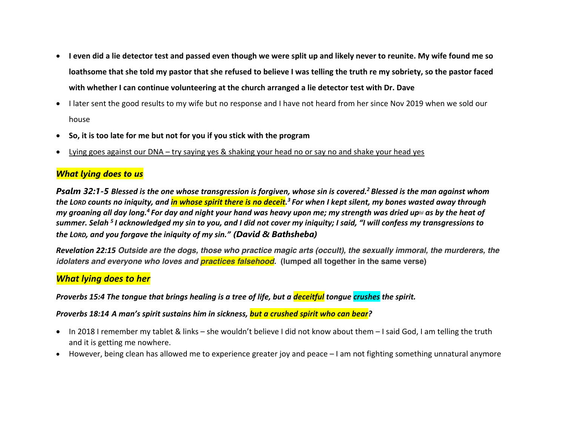- **I even did a lie detector test and passed even though we were split up and likely never to reunite. My wife found me so loathsome that she told my pastor that she refused to believe I was telling the truth re my sobriety, so the pastor faced with whether I can continue volunteering at the church arranged a lie detector test with Dr. Dave**
- I later sent the good results to my wife but no response and I have not heard from her since Nov 2019 when we sold our house
- **So, it is too late for me but not for you if you stick with the program**
- Lying goes against our DNA try saying yes & shaking your head no or say no and shake your head yes

## *What lying does to us*

*Psalm 32:1-5 Blessed is the one whose transgression is forgiven, whose sin is covered.2 Blessed is the man against whom the LORD counts no iniquity, and in whose spirit there is no deceit. <sup>3</sup> For when I kept silent, my bones wasted away through my groaning all day long.<sup>4</sup> For day and night your hand was heavy upon me; my strength was dried up<sup>1</sup> <i>as by the heat of summer. Selah <sup>5</sup> I acknowledged my sin to you, and I did not cover my iniquity; I said, "I will confess my transgressions to the LORD, and you forgave the iniquity of my sin." (David & Bathsheba)*

*Revelation 22:15 Outside are the dogs, those who practice magic arts (occult), the sexually immoral, the murderers, the idolaters and everyone who loves and practices falsehood.* **(lumped all together in the same verse)**

### *What lying does to her*

Proverbs 15:4 The tongue that brings healing is a tree of life, but a *deceitful* tongue crushes the spirit.

*Proverbs 18:14**A man's spirit sustains him in sickness, but a crushed spirit who can bear?*

- In 2018 I remember my tablet & links she wouldn't believe I did not know about them I said God, I am telling the truth and it is getting me nowhere.
- However, being clean has allowed me to experience greater joy and peace I am not fighting something unnatural anymore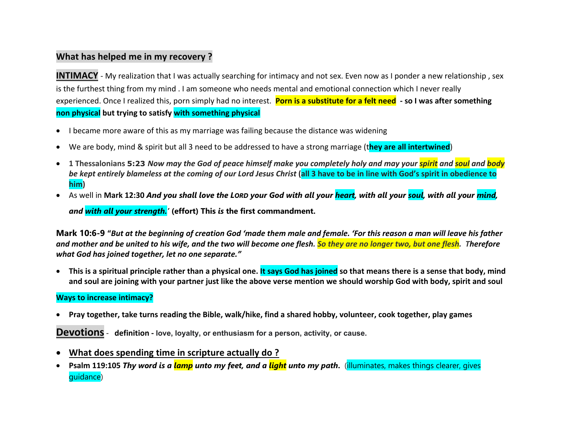## **What has helped me in my recovery ?**

**INTIMACY** - My realization that I was actually searching for intimacy and not sex. Even now as I ponder a new relationship, sex is the furthest thing from my mind . I am someone who needs mental and emotional connection which I never really experienced. Once I realized this, porn simply had no interest. **Porn is a substitute for a felt need - so I was after something non physical but trying to satisfy with something physical**

- I became more aware of this as my marriage was failing because the distance was widening
- We are body, mind & spirit but all 3 need to be addressed to have a strong marriage (t**hey are all intertwined**)
- **1 Thessalonians 5:23** *Now may the God of peace himself make you completely holy and may your spirit and soul and body be kept entirely blameless at the coming of our Lord Jesus Christ* **(all 3 have to be in line with God's spirit in obedience to him)**
- As well in **Mark 12:30** *And you shall love the LORD your God with all your heart, with all your soul, with all your mind,*

*and with all your strength.'* **(effort) This** *is* **the first commandment.**

**Mark 10:6-9 "***But at the beginning of creation God 'made them male and female. 'For this reason a man will leave his father and mother and be united to his wife, and the two will become one flesh. So they are no longer two, but one flesh. Therefore what God has joined together, let no one separate."*

• **This is a spiritual principle rather than a physical one. It says God has joined so that means there is a sense that body, mind and soul are joining with your partner just like the above verse mention we should worship God with body, spirit and soul** 

#### **Ways to increase intimacy?**

• **Pray together, take turns reading the Bible, walk/hike, find a shared hobby, volunteer, cook together, play games**

**Devotions**- **definition - love, loyalty, or enthusiasm for a person, activity, or cause.**

- **What does spending time in scripture actually do ?**
- **Psalm 119:105** *Thy word is a lamp unto my feet, and a light unto my path***.** (illuminates, makes things clearer, gives guidance)